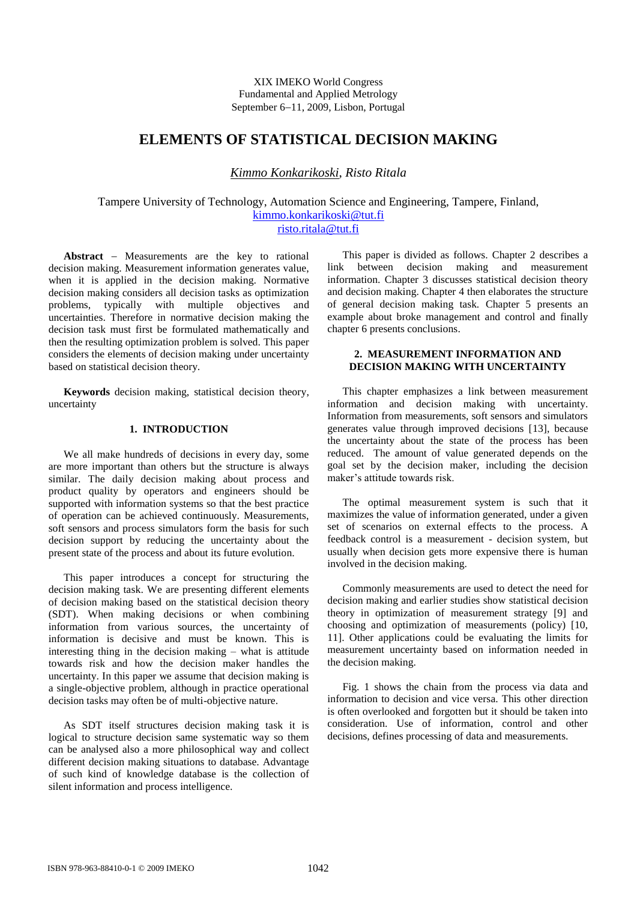XIX IMEKO World Congress Fundamental and Applied Metrology September 6-11, 2009, Lisbon, Portugal

# **ELEMENTS OF STATISTICAL DECISION MAKING**

*Kimmo Konkarikoski*, *Risto Ritala*

Tampere University of Technology, Automation Science and Engineering, Tampere, Finland, [kimmo.konkarikoski@tut.fi](mailto:kimmo.konkarikoski@tut.fi) [risto.ritala@tut.fi](mailto:risto.ritala@tut.fi)

**Abstract** – Measurements are the key to rational decision making. Measurement information generates value, when it is applied in the decision making. Normative decision making considers all decision tasks as optimization problems, typically with multiple objectives and uncertainties. Therefore in normative decision making the decision task must first be formulated mathematically and then the resulting optimization problem is solved. This paper considers the elements of decision making under uncertainty based on statistical decision theory.

**Keywords** decision making, statistical decision theory, uncertainty

### **1. INTRODUCTION**

We all make hundreds of decisions in every day, some are more important than others but the structure is always similar. The daily decision making about process and product quality by operators and engineers should be supported with information systems so that the best practice of operation can be achieved continuously. Measurements, soft sensors and process simulators form the basis for such decision support by reducing the uncertainty about the present state of the process and about its future evolution.

This paper introduces a concept for structuring the decision making task. We are presenting different elements of decision making based on the statistical decision theory (SDT). When making decisions or when combining information from various sources, the uncertainty of information is decisive and must be known. This is interesting thing in the decision making – what is attitude towards risk and how the decision maker handles the uncertainty. In this paper we assume that decision making is a single-objective problem, although in practice operational decision tasks may often be of multi-objective nature.

As SDT itself structures decision making task it is logical to structure decision same systematic way so them can be analysed also a more philosophical way and collect different decision making situations to database. Advantage of such kind of knowledge database is the collection of silent information and process intelligence.

This paper is divided as follows. Chapter 2 describes a link between decision making and measurement information. Chapter 3 discusses statistical decision theory and decision making. Chapter 4 then elaborates the structure of general decision making task. Chapter 5 presents an example about broke management and control and finally chapter 6 presents conclusions.

### **2. MEASUREMENT INFORMATION AND DECISION MAKING WITH UNCERTAINTY**

This chapter emphasizes a link between measurement information and decision making with uncertainty. Information from measurements, soft sensors and simulators generates value through improved decisions [13], because the uncertainty about the state of the process has been reduced. The amount of value generated depends on the goal set by the decision maker, including the decision maker's attitude towards risk.

The optimal measurement system is such that it maximizes the value of information generated, under a given set of scenarios on external effects to the process. A feedback control is a measurement - decision system, but usually when decision gets more expensive there is human involved in the decision making.

Commonly measurements are used to detect the need for decision making and earlier studies show statistical decision theory in optimization of measurement strategy [9] and choosing and optimization of measurements (policy) [10, 11]. Other applications could be evaluating the limits for measurement uncertainty based on information needed in the decision making.

Fig. 1 shows the chain from the process via data and information to decision and vice versa. This other direction is often overlooked and forgotten but it should be taken into consideration. Use of information, control and other decisions, defines processing of data and measurements.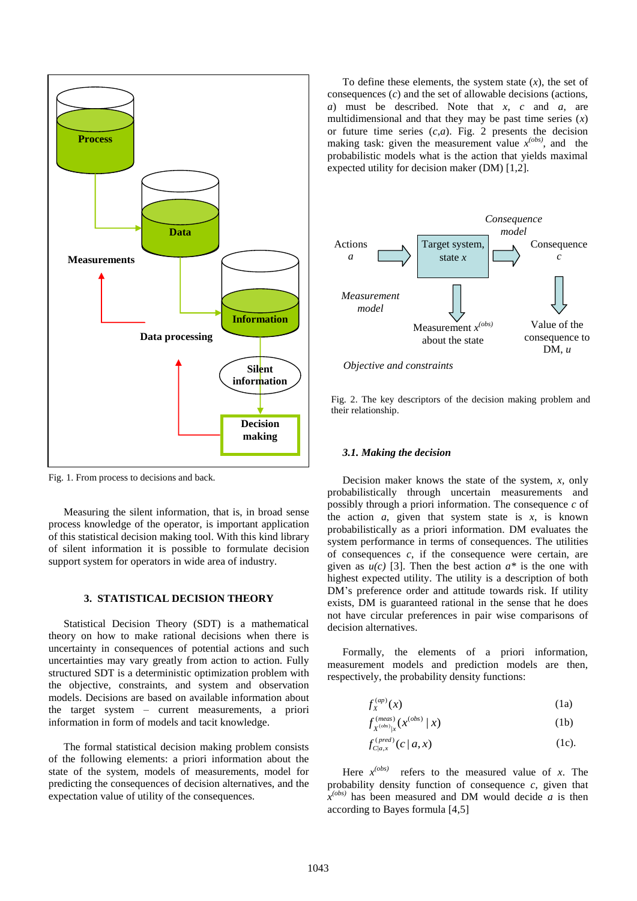

Fig. 1. From process to decisions and back.

Measuring the silent information, that is, in broad sense process knowledge of the operator, is important application of this statistical decision making tool. With this kind library of silent information it is possible to formulate decision support system for operators in wide area of industry.

# **3. STATISTICAL DECISION THEORY**

Statistical Decision Theory (SDT) is a mathematical theory on how to make rational decisions when there is uncertainty in consequences of potential actions and such uncertainties may vary greatly from action to action. Fully structured SDT is a deterministic optimization problem with the objective, constraints, and system and observation models. Decisions are based on available information about the target system – current measurements, a priori information in form of models and tacit knowledge.

The formal statistical decision making problem consists of the following elements: a priori information about the state of the system, models of measurements, model for predicting the consequences of decision alternatives, and the expectation value of utility of the consequences.

To define these elements, the system state  $(x)$ , the set of consequences (*c*) and the set of allowable decisions (actions, *a*) must be described. Note that *x*, *c* and *a*, are multidimensional and that they may be past time series (*x*) or future time series  $(c,a)$ . Fig. 2 presents the decision making task: given the measurement value  $x^{(obs)}$ , and the probabilistic models what is the action that yields maximal expected utility for decision maker (DM) [1,2].



*Objective and constraints*

Fig. 2. The key descriptors of the decision making problem and their relationship.

#### *3.1. Making the decision*

Decision maker knows the state of the system, *x,* only probabilistically through uncertain measurements and possibly through a priori information. The consequence *c* of the action  $a$ , given that system state is  $x$ , is known probabilistically as a priori information. DM evaluates the system performance in terms of consequences. The utilities of consequences *c*, if the consequence were certain, are given as  $u(c)$  [3]. Then the best action  $a^*$  is the one with highest expected utility. The utility is a description of both DM's preference order and attitude towards risk. If utility exists, DM is guaranteed rational in the sense that he does not have circular preferences in pair wise comparisons of decision alternatives.

Formally, the elements of a priori information, measurement models and prediction models are then, respectively, the probability density functions:

$$
f_X^{(ap)}(x) \tag{1a}
$$

$$
f_{X^{(obs)}|_X}^{(meas)}(x^{(obs)} | x)
$$
 (1b)

$$
f_{C|a,x}^{(pred)}(c|a,x) \qquad (1c).
$$

Here  $x^{(obs)}$  refers to the measured value of *x*. The probability density function of consequence *c*, given that  $\hat{x}^{(obs)}$  has been measured and DM would decide *a* is then according to Bayes formula [4,5]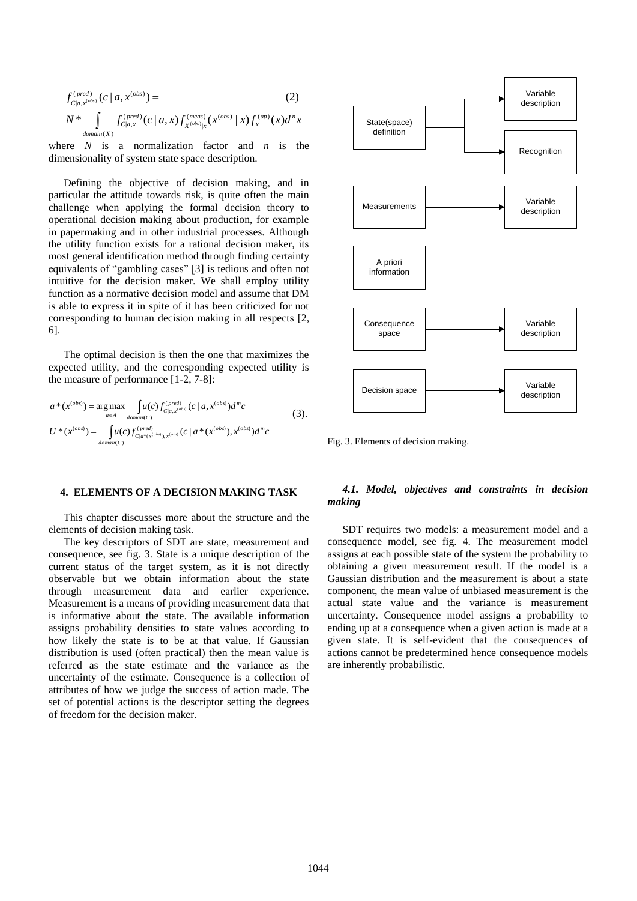$$
f_{C|a,x^{(obs)}}^{(pred)}(c|a,x^{(obs)}) =
$$
\n
$$
N^* \int_{domain(X)} f_{C|a,x}^{(pred)}(c|a,x) f_{x^{(obs)}|x}^{(meas)}(x^{(obs)}|x) f_{x}^{(ap)}(x) d^n x
$$
\n(2)

where *N* is a normalization factor and *n* is the dimensionality of system state space description.

Defining the objective of decision making, and in particular the attitude towards risk, is quite often the main challenge when applying the formal decision theory to operational decision making about production, for example in papermaking and in other industrial processes. Although the utility function exists for a rational decision maker, its most general identification method through finding certainty equivalents of "gambling cases" [3] is tedious and often not intuitive for the decision maker. We shall employ utility function as a normative decision model and assume that DM is able to express it in spite of it has been criticized for not corresponding to human decision making in all respects [2, 6].

The optimal decision is then the one that maximizes the expected utility, and the corresponding expected utility is the measure of performance [1-2, 7-8]:

$$
a^*(x^{(obs)}) = \underset{a \in A}{\arg\max} \quad \int u(c) f_{C|a,x^{(obs)}}^{(pred)}(c \mid a, x^{(obs)}) d^m c
$$
\n
$$
U^*(x^{(obs)}) = \int u(c) f_{C|a^*(x^{(obs)}, x^{(obs)}}^{(pred)}(c \mid a^*(x^{(obs)}), x^{(obs)}) d^m c
$$
\n
$$
(3).
$$

#### **4. ELEMENTS OF A DECISION MAKING TASK**

This chapter discusses more about the structure and the elements of decision making task.

The key descriptors of SDT are state, measurement and consequence, see fig. 3. State is a unique description of the current status of the target system, as it is not directly observable but we obtain information about the state through measurement data and earlier experience. Measurement is a means of providing measurement data that is informative about the state. The available information assigns probability densities to state values according to how likely the state is to be at that value. If Gaussian distribution is used (often practical) then the mean value is referred as the state estimate and the variance as the uncertainty of the estimate. Consequence is a collection of attributes of how we judge the success of action made. The set of potential actions is the descriptor setting the degrees of freedom for the decision maker.



Fig. 3. Elements of decision making.

# *4.1. Model, objectives and constraints in decision making*

SDT requires two models: a measurement model and a consequence model, see fig. 4. The measurement model assigns at each possible state of the system the probability to obtaining a given measurement result. If the model is a Gaussian distribution and the measurement is about a state component, the mean value of unbiased measurement is the actual state value and the variance is measurement uncertainty. Consequence model assigns a probability to ending up at a consequence when a given action is made at a given state. It is self-evident that the consequences of actions cannot be predetermined hence consequence models are inherently probabilistic.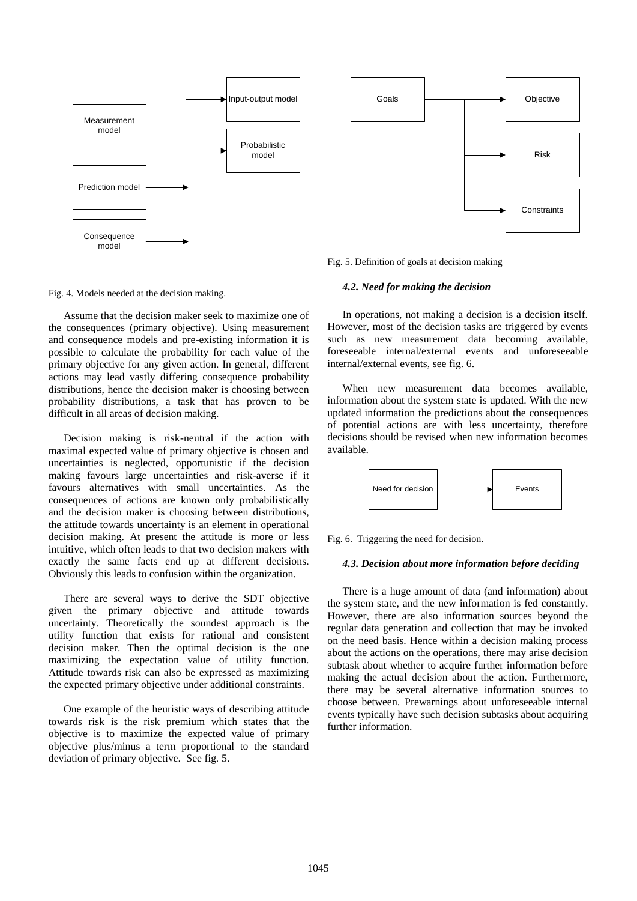

Fig. 4. Models needed at the decision making.

Assume that the decision maker seek to maximize one of the consequences (primary objective). Using measurement and consequence models and pre-existing information it is possible to calculate the probability for each value of the primary objective for any given action. In general, different actions may lead vastly differing consequence probability distributions, hence the decision maker is choosing between probability distributions, a task that has proven to be difficult in all areas of decision making.

Decision making is risk-neutral if the action with maximal expected value of primary objective is chosen and uncertainties is neglected, opportunistic if the decision making favours large uncertainties and risk-averse if it favours alternatives with small uncertainties. As the consequences of actions are known only probabilistically and the decision maker is choosing between distributions, the attitude towards uncertainty is an element in operational decision making. At present the attitude is more or less intuitive, which often leads to that two decision makers with exactly the same facts end up at different decisions. Obviously this leads to confusion within the organization.

There are several ways to derive the SDT objective given the primary objective and attitude towards uncertainty. Theoretically the soundest approach is the utility function that exists for rational and consistent decision maker. Then the optimal decision is the one maximizing the expectation value of utility function. Attitude towards risk can also be expressed as maximizing the expected primary objective under additional constraints.

One example of the heuristic ways of describing attitude towards risk is the risk premium which states that the objective is to maximize the expected value of primary objective plus/minus a term proportional to the standard deviation of primary objective. See fig. 5.



Fig. 5. Definition of goals at decision making

#### *4.2. Need for making the decision*

In operations, not making a decision is a decision itself. However, most of the decision tasks are triggered by events such as new measurement data becoming available, foreseeable internal/external events and unforeseeable internal/external events, see fig. 6.

When new measurement data becomes available, information about the system state is updated. With the new updated information the predictions about the consequences of potential actions are with less uncertainty, therefore decisions should be revised when new information becomes available.



Fig. 6. Triggering the need for decision.

#### *4.3. Decision about more information before deciding*

There is a huge amount of data (and information) about the system state, and the new information is fed constantly. However, there are also information sources beyond the regular data generation and collection that may be invoked on the need basis. Hence within a decision making process about the actions on the operations, there may arise decision subtask about whether to acquire further information before making the actual decision about the action. Furthermore, there may be several alternative information sources to choose between. Prewarnings about unforeseeable internal events typically have such decision subtasks about acquiring further information.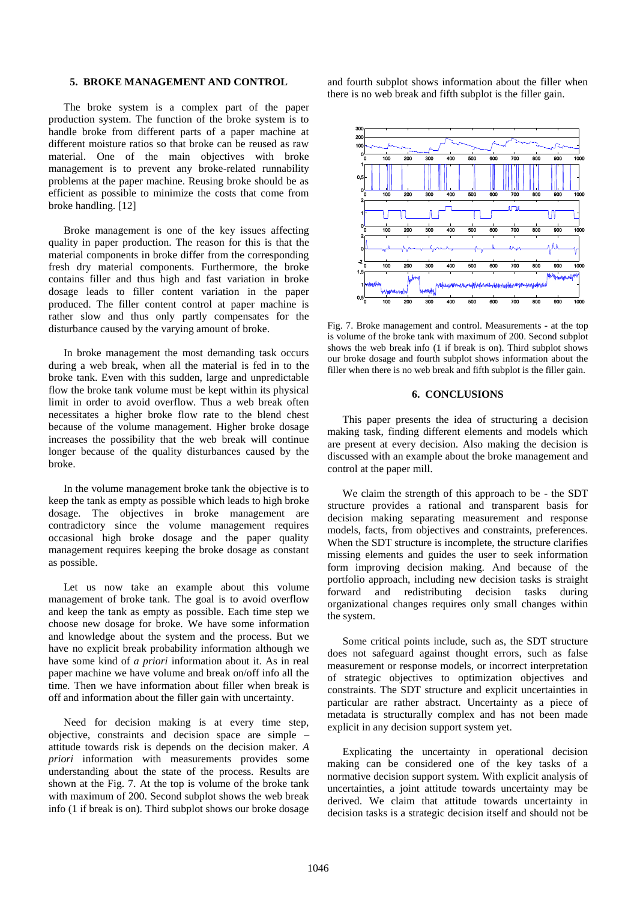### **5. BROKE MANAGEMENT AND CONTROL**

The broke system is a complex part of the paper production system. The function of the broke system is to handle broke from different parts of a paper machine at different moisture ratios so that broke can be reused as raw material. One of the main objectives with broke management is to prevent any broke-related runnability problems at the paper machine. Reusing broke should be as efficient as possible to minimize the costs that come from broke handling. [12]

Broke management is one of the key issues affecting quality in paper production. The reason for this is that the material components in broke differ from the corresponding fresh dry material components. Furthermore, the broke contains filler and thus high and fast variation in broke dosage leads to filler content variation in the paper produced. The filler content control at paper machine is rather slow and thus only partly compensates for the disturbance caused by the varying amount of broke.

In broke management the most demanding task occurs during a web break, when all the material is fed in to the broke tank. Even with this sudden, large and unpredictable flow the broke tank volume must be kept within its physical limit in order to avoid overflow. Thus a web break often necessitates a higher broke flow rate to the blend chest because of the volume management. Higher broke dosage increases the possibility that the web break will continue longer because of the quality disturbances caused by the broke.

In the volume management broke tank the objective is to keep the tank as empty as possible which leads to high broke dosage. The objectives in broke management are contradictory since the volume management requires occasional high broke dosage and the paper quality management requires keeping the broke dosage as constant as possible.

Let us now take an example about this volume management of broke tank. The goal is to avoid overflow and keep the tank as empty as possible. Each time step we choose new dosage for broke. We have some information and knowledge about the system and the process. But we have no explicit break probability information although we have some kind of *a priori* information about it. As in real paper machine we have volume and break on/off info all the time. Then we have information about filler when break is off and information about the filler gain with uncertainty.

Need for decision making is at every time step, objective, constraints and decision space are simple – attitude towards risk is depends on the decision maker. *A priori* information with measurements provides some understanding about the state of the process. Results are shown at the Fig. 7. At the top is volume of the broke tank with maximum of 200. Second subplot shows the web break info (1 if break is on). Third subplot shows our broke dosage

and fourth subplot shows information about the filler when there is no web break and fifth subplot is the filler gain.



Fig. 7. Broke management and control. Measurements - at the top is volume of the broke tank with maximum of 200. Second subplot shows the web break info (1 if break is on). Third subplot shows our broke dosage and fourth subplot shows information about the filler when there is no web break and fifth subplot is the filler gain.

#### **6. CONCLUSIONS**

This paper presents the idea of structuring a decision making task, finding different elements and models which are present at every decision. Also making the decision is discussed with an example about the broke management and control at the paper mill.

We claim the strength of this approach to be - the SDT structure provides a rational and transparent basis for decision making separating measurement and response models, facts, from objectives and constraints, preferences. When the SDT structure is incomplete, the structure clarifies missing elements and guides the user to seek information form improving decision making. And because of the portfolio approach, including new decision tasks is straight forward and redistributing decision tasks during organizational changes requires only small changes within the system.

Some critical points include, such as, the SDT structure does not safeguard against thought errors, such as false measurement or response models, or incorrect interpretation of strategic objectives to optimization objectives and constraints. The SDT structure and explicit uncertainties in particular are rather abstract. Uncertainty as a piece of metadata is structurally complex and has not been made explicit in any decision support system yet.

Explicating the uncertainty in operational decision making can be considered one of the key tasks of a normative decision support system. With explicit analysis of uncertainties, a joint attitude towards uncertainty may be derived. We claim that attitude towards uncertainty in decision tasks is a strategic decision itself and should not be